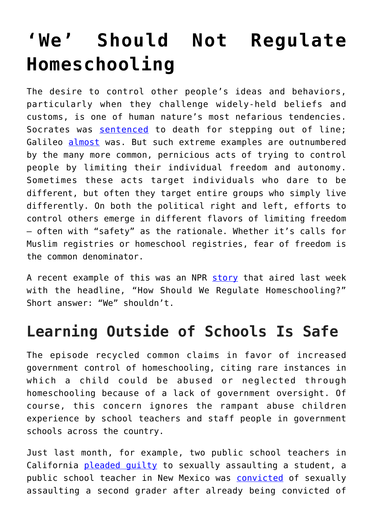## **['We' Should Not Regulate](https://intellectualtakeout.org/2020/01/we-should-not-regulate-homeschooling/) [Homeschooling](https://intellectualtakeout.org/2020/01/we-should-not-regulate-homeschooling/)**

The desire to control other people's ideas and behaviors, particularly when they challenge widely-held beliefs and customs, is one of human nature's most nefarious tendencies. Socrates was **[sentenced](https://www.historychannel.com.au/this-day-in-history/socrates-sentenced-to-death/)** to death for stepping out of line; Galileo **almost** was. But such extreme examples are outnumbered by the many more common, pernicious acts of trying to control people by limiting their individual freedom and autonomy. Sometimes these acts target individuals who dare to be different, but often they target entire groups who simply live differently. On both the political right and left, efforts to control others emerge in different flavors of limiting freedom – often with "safety" as the rationale. Whether it's calls for Muslim registries or homeschool registries, fear of freedom is the common denominator.

A recent example of this was an NPR [story](https://www.npr.org/2020/01/02/793135323/how-should-we-regulate-homeschooling?fbclid=IwAR35Iz_9zeoYnDfBRboPrbbmGWJOrEX85gdl3Miuuns6SCgrPhfoUzjyEww) that aired last week with the headline, "How Should We Regulate Homeschooling?" Short answer: "We" shouldn't.

## **Learning Outside of Schools Is Safe**

The episode recycled common claims in favor of increased government control of homeschooling, citing rare instances in which a child could be abused or neglected through homeschooling because of a lack of government oversight. Of course, this concern ignores the rampant abuse children experience by school teachers and staff people in government schools across the country.

Just last month, for example, two public school teachers in California pleaded quilty to sexually assaulting a student, a public school teacher in New Mexico was [convicted](https://www.ksla.com/2019/12/12/former-nm-teacher-who-raped-multiple-students-convicted-second-case/) of sexually assaulting a second grader after already being convicted of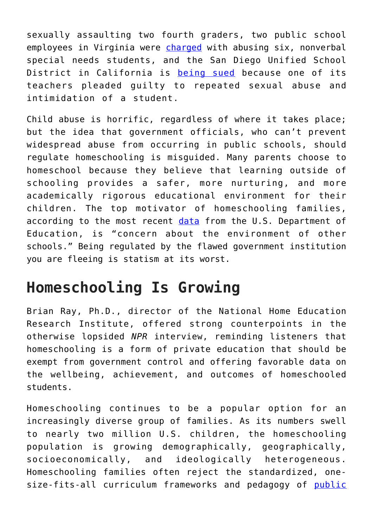sexually assaulting two fourth graders, two public school employees in Virginia were [charged](https://www.washingtonpost.com/local/public-safety/principal-teacher-charged-in-connection-with-alleged-abuse-of-special-needs-students-at-va-school/2019/12/16/2a9d5428-2037-11ea-bed5-880264cc91a9_story.html) with abusing six, nonverbal special needs students, and the San Diego Unified School District in California is [being sued](https://www.nbcsandiego.com/news/local/two-victims-of-abuse-by-former-special-needs-teacher-sue-sdusd/2228242/) because one of its teachers pleaded guilty to repeated sexual abuse and intimidation of a student.

Child abuse is horrific, regardless of where it takes place; but the idea that government officials, who can't prevent widespread abuse from occurring in public schools, should regulate homeschooling is misguided. Many parents choose to homeschool because they believe that learning outside of schooling provides a safer, more nurturing, and more academically rigorous educational environment for their children. The top motivator of homeschooling families, according to the most recent [data](https://nces.ed.gov/fastfacts/display.asp?id=91) from the U.S. Department of Education, is "concern about the environment of other schools." Being regulated by the flawed government institution you are fleeing is statism at its worst.

## **Homeschooling Is Growing**

Brian Ray, Ph.D., director of the National Home Education Research Institute, offered strong counterpoints in the otherwise lopsided *NPR* interview, reminding listeners that homeschooling is a form of private education that should be exempt from government control and offering favorable data on the wellbeing, achievement, and outcomes of homeschooled students.

Homeschooling continues to be a popular option for an increasingly diverse group of families. As its numbers swell to nearly two million U.S. children, the homeschooling population is growing demographically, geographically, socioeconomically, and ideologically heterogeneous. Homeschooling families often reject the standardized, onesize-fits-all curriculum frameworks and pedagogy of [public](https://fee.org/learning-center/issues/education/the-origins-of-the-public-school/)